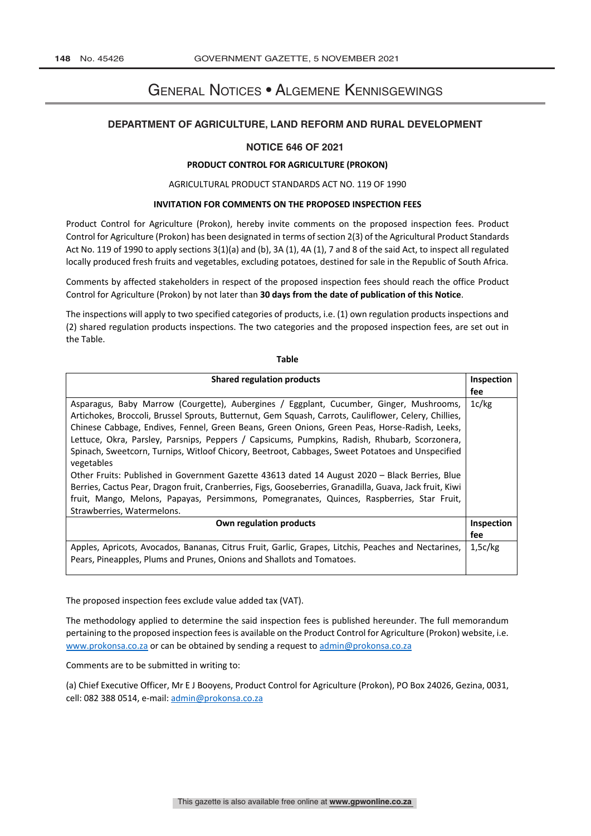# General Notices • Algemene Kennisgewings

# **DEPARTMENT OF AGRICULTURE, LAND REFORM AND RURAL DEVELOPMENT**

## **NOTICE 646 OF 2021**

#### **PRODUCT CONTROL FOR AGRICULTURE (PROKON)**

#### AGRICULTURAL PRODUCT STANDARDS ACT NO. 119 OF 1990

#### **INVITATION FOR COMMENTS ON THE PROPOSED INSPECTION FEES**

Product Control for Agriculture (Prokon), hereby invite comments on the proposed inspection fees. Product Control for Agriculture (Prokon) has been designated in terms of section 2(3) of the Agricultural Product Standards Act No. 119 of 1990 to apply sections 3(1)(a) and (b), 3A (1), 4A (1), 7 and 8 of the said Act, to inspect all regulated locally produced fresh fruits and vegetables, excluding potatoes, destined for sale in the Republic of South Africa.

Comments by affected stakeholders in respect of the proposed inspection fees should reach the office Product Control for Agriculture (Prokon) by not later than **30 days from the date of publication of this Notice**.

The inspections will apply to two specified categories of products, i.e. (1) own regulation products inspections and (2) shared regulation products inspections. The two categories and the proposed inspection fees, are set out in the Table.

**Table**

| <b>Shared regulation products</b>                                                                        | Inspection |
|----------------------------------------------------------------------------------------------------------|------------|
|                                                                                                          | fee        |
| Asparagus, Baby Marrow (Courgette), Aubergines / Eggplant, Cucumber, Ginger, Mushrooms,                  | 1c/kg      |
| Artichokes, Broccoli, Brussel Sprouts, Butternut, Gem Squash, Carrots, Cauliflower, Celery, Chillies,    |            |
| Chinese Cabbage, Endives, Fennel, Green Beans, Green Onions, Green Peas, Horse-Radish, Leeks,            |            |
| Lettuce, Okra, Parsley, Parsnips, Peppers / Capsicums, Pumpkins, Radish, Rhubarb, Scorzonera,            |            |
| Spinach, Sweetcorn, Turnips, Witloof Chicory, Beetroot, Cabbages, Sweet Potatoes and Unspecified         |            |
| vegetables                                                                                               |            |
| Other Fruits: Published in Government Gazette 43613 dated 14 August 2020 - Black Berries, Blue           |            |
| Berries, Cactus Pear, Dragon fruit, Cranberries, Figs, Gooseberries, Granadilla, Guava, Jack fruit, Kiwi |            |
| fruit, Mango, Melons, Papayas, Persimmons, Pomegranates, Quinces, Raspberries, Star Fruit,               |            |
| Strawberries, Watermelons.                                                                               |            |
| Own regulation products                                                                                  | Inspection |
|                                                                                                          | fee        |
| Apples, Apricots, Avocados, Bananas, Citrus Fruit, Garlic, Grapes, Litchis, Peaches and Nectarines,      | 1,5c/kg    |
| Pears, Pineapples, Plums and Prunes, Onions and Shallots and Tomatoes.                                   |            |

The proposed inspection fees exclude value added tax (VAT).

The methodology applied to determine the said inspection fees is published hereunder. The full memorandum pertaining to the proposed inspection fees is available on the Product Control for Agriculture (Prokon) website, i.e. www.prokonsa.co.za or can be obtained by sending a request to admin@prokonsa.co.za

Comments are to be submitted in writing to:

(a) Chief Executive Officer, Mr E J Booyens, Product Control for Agriculture (Prokon), PO Box 24026, Gezina, 0031, cell: 082 388 0514, e-mail: admin@prokonsa.co.za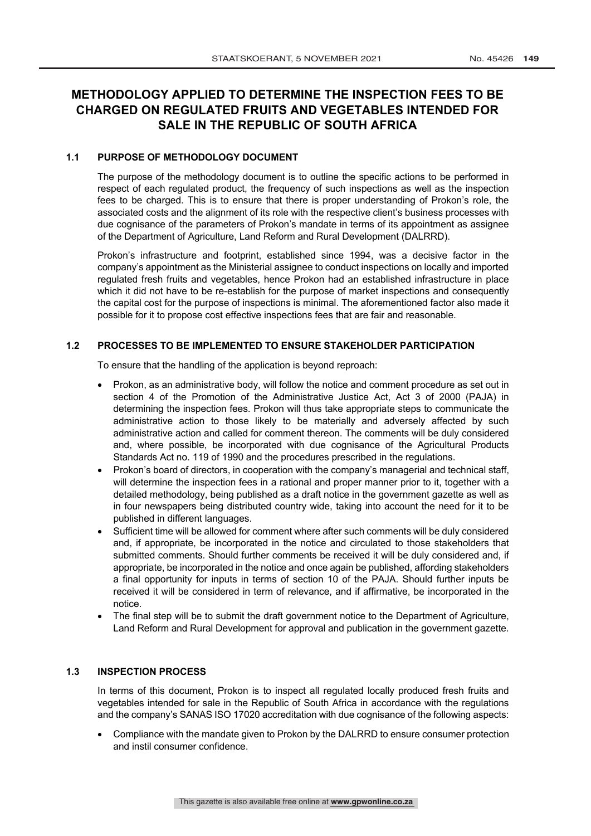# **METHODOLOGY APPLIED TO DETERMINE THE INSPECTION FEES TO BE CHARGED ON REGULATED FRUITS AND VEGETABLES INTENDED FOR SALE IN THE REPUBLIC OF SOUTH AFRICA**

# **1.1 PURPOSE OF METHODOLOGY DOCUMENT**

The purpose of the methodology document is to outline the specific actions to be performed in respect of each regulated product, the frequency of such inspections as well as the inspection fees to be charged. This is to ensure that there is proper understanding of Prokon's role, the associated costs and the alignment of its role with the respective client's business processes with due cognisance of the parameters of Prokon's mandate in terms of its appointment as assignee of the Department of Agriculture, Land Reform and Rural Development (DALRRD).

Prokon's infrastructure and footprint, established since 1994, was a decisive factor in the company's appointment as the Ministerial assignee to conduct inspections on locally and imported regulated fresh fruits and vegetables, hence Prokon had an established infrastructure in place which it did not have to be re-establish for the purpose of market inspections and consequently the capital cost for the purpose of inspections is minimal. The aforementioned factor also made it possible for it to propose cost effective inspections fees that are fair and reasonable.

# **1.2 PROCESSES TO BE IMPLEMENTED TO ENSURE STAKEHOLDER PARTICIPATION**

To ensure that the handling of the application is beyond reproach:

- Prokon, as an administrative body, will follow the notice and comment procedure as set out in section 4 of the Promotion of the Administrative Justice Act, Act 3 of 2000 (PAJA) in determining the inspection fees. Prokon will thus take appropriate steps to communicate the administrative action to those likely to be materially and adversely affected by such administrative action and called for comment thereon. The comments will be duly considered and, where possible, be incorporated with due cognisance of the Agricultural Products Standards Act no. 119 of 1990 and the procedures prescribed in the regulations.
- Prokon's board of directors, in cooperation with the company's managerial and technical staff, will determine the inspection fees in a rational and proper manner prior to it, together with a detailed methodology, being published as a draft notice in the government gazette as well as in four newspapers being distributed country wide, taking into account the need for it to be published in different languages.
- Sufficient time will be allowed for comment where after such comments will be duly considered and, if appropriate, be incorporated in the notice and circulated to those stakeholders that submitted comments. Should further comments be received it will be duly considered and, if appropriate, be incorporated in the notice and once again be published, affording stakeholders a final opportunity for inputs in terms of section 10 of the PAJA. Should further inputs be received it will be considered in term of relevance, and if affirmative, be incorporated in the notice.
- The final step will be to submit the draft government notice to the Department of Agriculture, Land Reform and Rural Development for approval and publication in the government gazette.

## **1.3 INSPECTION PROCESS**

In terms of this document, Prokon is to inspect all regulated locally produced fresh fruits and vegetables intended for sale in the Republic of South Africa in accordance with the regulations and the company's SANAS ISO 17020 accreditation with due cognisance of the following aspects:

• Compliance with the mandate given to Prokon by the DALRRD to ensure consumer protection and instil consumer confidence.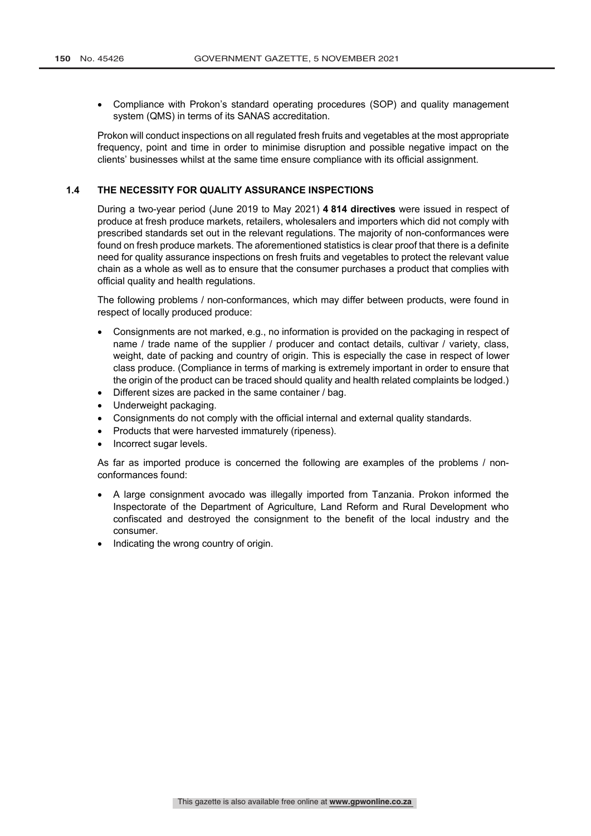• Compliance with Prokon's standard operating procedures (SOP) and quality management system (QMS) in terms of its SANAS accreditation.

Prokon will conduct inspections on all regulated fresh fruits and vegetables at the most appropriate frequency, point and time in order to minimise disruption and possible negative impact on the clients' businesses whilst at the same time ensure compliance with its official assignment.

## **1.4 THE NECESSITY FOR QUALITY ASSURANCE INSPECTIONS**

During a two-year period (June 2019 to May 2021) **4 814 directives** were issued in respect of produce at fresh produce markets, retailers, wholesalers and importers which did not comply with prescribed standards set out in the relevant regulations. The majority of non-conformances were found on fresh produce markets. The aforementioned statistics is clear proof that there is a definite need for quality assurance inspections on fresh fruits and vegetables to protect the relevant value chain as a whole as well as to ensure that the consumer purchases a product that complies with official quality and health regulations.

The following problems / non-conformances, which may differ between products, were found in respect of locally produced produce:

- Consignments are not marked, e.g., no information is provided on the packaging in respect of name / trade name of the supplier / producer and contact details, cultivar / variety, class, weight, date of packing and country of origin. This is especially the case in respect of lower class produce. (Compliance in terms of marking is extremely important in order to ensure that the origin of the product can be traced should quality and health related complaints be lodged.)
- Different sizes are packed in the same container / bag.
- Underweight packaging.
- Consignments do not comply with the official internal and external quality standards.
- Products that were harvested immaturely (ripeness).
- Incorrect sugar levels.

As far as imported produce is concerned the following are examples of the problems / nonconformances found:

- A large consignment avocado was illegally imported from Tanzania. Prokon informed the Inspectorate of the Department of Agriculture, Land Reform and Rural Development who confiscated and destroyed the consignment to the benefit of the local industry and the consumer.
- Indicating the wrong country of origin.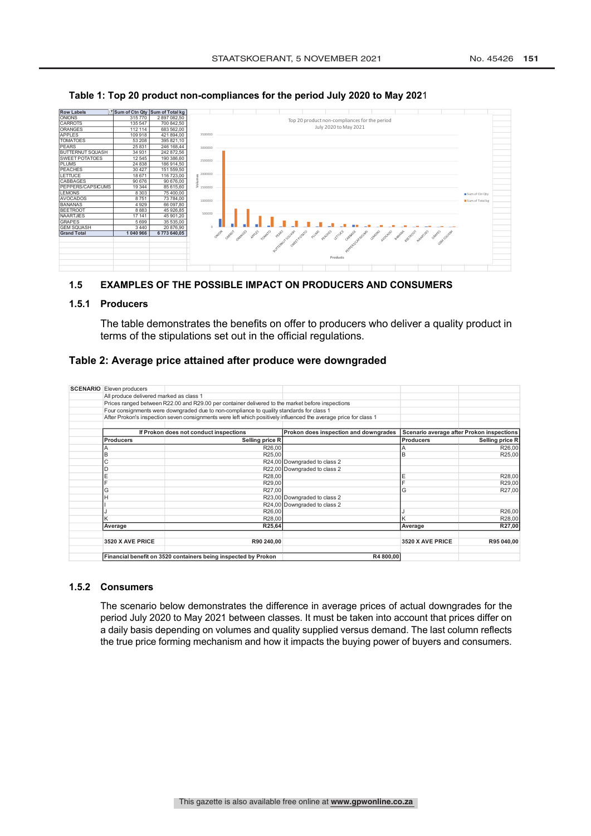

#### **Table 1: Top 20 product non-compliances for the period July 2020 to May 202**1

# **1.5 EXAMPLES OF THE POSSIBLE IMPACT ON PRODUCERS AND CONSUMERS**

#### **1.5.1 Producers**

The table demonstrates the benefits on offer to producers who deliver a quality product in terms of the stipulations set out in the official regulations.

## **Table 2: Average price attained after produce were downgraded**

| <b>SCENARIO</b> Eleven producers        |                                                                                                                  |                                       |                                           |                 |
|-----------------------------------------|------------------------------------------------------------------------------------------------------------------|---------------------------------------|-------------------------------------------|-----------------|
|                                         |                                                                                                                  |                                       |                                           |                 |
| All produce delivered marked as class 1 |                                                                                                                  |                                       |                                           |                 |
|                                         | Prices ranged between R22.00 and R29.00 per container delivered to the market before inspections                 |                                       |                                           |                 |
|                                         | Four consignments were downgraded due to non-compliance to quality standards for class 1                         |                                       |                                           |                 |
|                                         | After Prokon's inspection seven consignments were left which positively influenced the average price for class 1 |                                       |                                           |                 |
|                                         |                                                                                                                  |                                       |                                           |                 |
|                                         | If Prokon does not conduct inspections                                                                           | Prokon does inspection and downgrades | Scenario average after Prokon inspections |                 |
| <b>Producers</b>                        | Selling price R                                                                                                  |                                       | <b>Producers</b>                          | Selling price R |
|                                         | R26,00                                                                                                           |                                       |                                           | R26,00          |
| P                                       | R25,00                                                                                                           |                                       | B                                         | R25,00          |
| С                                       |                                                                                                                  | R24,00 Downgraded to class 2          |                                           |                 |
|                                         |                                                                                                                  | R22,00 Downgraded to class 2          |                                           |                 |
| E                                       | R28,00                                                                                                           |                                       | E                                         | R28,00          |
|                                         | R29,00                                                                                                           |                                       |                                           | R29,00          |
| G                                       | R27,00                                                                                                           |                                       | G                                         | R27,00          |
|                                         |                                                                                                                  | R23,00 Downgraded to class 2          |                                           |                 |
|                                         |                                                                                                                  | R24,00 Downgraded to class 2          |                                           |                 |
|                                         | R26,00                                                                                                           |                                       |                                           | R26,00          |
|                                         | R28,00                                                                                                           |                                       |                                           | R28,00          |
| Average                                 | R25,64                                                                                                           |                                       | Average                                   | R27,00          |
|                                         |                                                                                                                  |                                       |                                           |                 |
| 3520 X AVE PRICE                        | R90 240,00                                                                                                       |                                       | 3520 X AVE PRICE                          | R95 040.00      |
|                                         |                                                                                                                  |                                       |                                           |                 |
|                                         | Financial benefit on 3520 containers being inspected by Prokon                                                   | R4 800,00                             |                                           |                 |

#### **1.5.2 Consumers**

The scenario below demonstrates the difference in average prices of actual downgrades for the period July 2020 to May 2021 between classes. It must be taken into account that prices differ on a daily basis depending on volumes and quality supplied versus demand. The last column reflects the true price forming mechanism and how it impacts the buying power of buyers and consumers.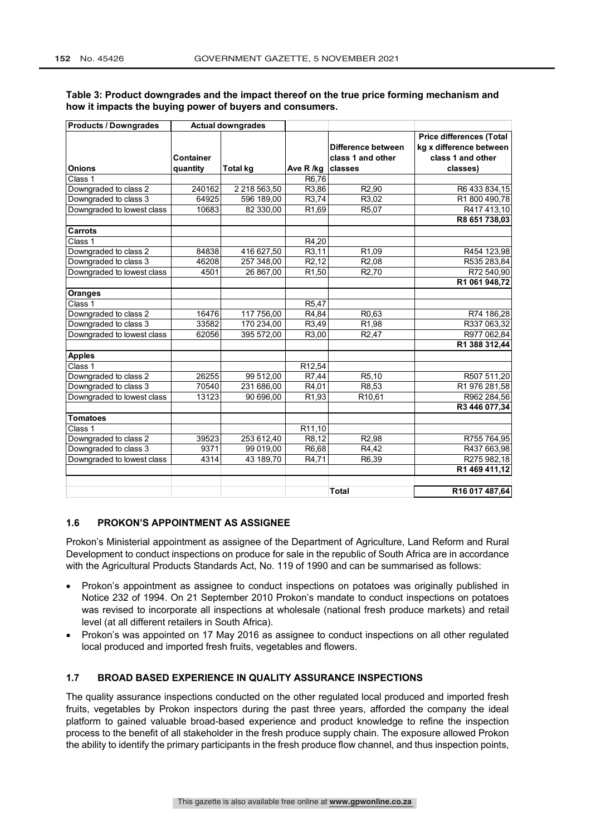| <b>Products / Downgrades</b> | <b>Actual downgrades</b> |                 |                              |                    |                                 |
|------------------------------|--------------------------|-----------------|------------------------------|--------------------|---------------------------------|
|                              |                          |                 |                              |                    | <b>Price differences (Total</b> |
|                              |                          |                 |                              | Difference between | kg x difference between         |
|                              | Container                |                 |                              | class 1 and other  | class 1 and other               |
| <b>Onions</b>                | quantity                 | <b>Total kg</b> | Ave R /kg                    | classes            | classes)                        |
| Class 1                      |                          |                 | R6,76                        |                    |                                 |
| Downgraded to class 2        | 240162                   | 2 218 563,50    | R3,86                        | R <sub>2</sub> ,90 | R6 433 834,15                   |
| Downgraded to class 3        | 64925                    | 596 189,00      | R3,74                        | R3,02              | R1 800 490,78                   |
| Downgraded to lowest class   | 10683                    | 82 330,00       | R <sub>1,69</sub>            | R5,07              | R417413,10                      |
|                              |                          |                 |                              |                    | R8 651 738,03                   |
| <b>Carrots</b>               |                          |                 |                              |                    |                                 |
| Class 1                      |                          |                 | R4,20                        |                    |                                 |
| Downgraded to class 2        | 84838                    | 416 627,50      | R3,11                        | R <sub>1,09</sub>  | R454 123,98                     |
| Downgraded to class 3        | 46208                    | 257 348,00      | $\overline{\mathsf{R2}}, 12$ | R <sub>2</sub> ,08 | R535 283,84                     |
| Downgraded to lowest class   | 4501                     | 26 867,00       | R <sub>1</sub> ,50           | R <sub>2</sub> ,70 | R72 540,90                      |
|                              |                          |                 |                              |                    | R1 061 948,72                   |
| <b>Oranges</b>               |                          |                 |                              |                    |                                 |
| Class 1                      |                          |                 | R <sub>5</sub> ,47           |                    |                                 |
| Downgraded to class 2        | 16476                    | 117 756,00      | R4,84                        | R <sub>0</sub> ,63 | R74 186,28                      |
| Downgraded to class 3        | 33582                    | 170 234,00      | R3,49                        | R <sub>1,98</sub>  | R337 063,32                     |
| Downgraded to lowest class   | 62056                    | 395 572,00      | R3,00                        | R <sub>2</sub> ,47 | R977 062,84                     |
|                              |                          |                 |                              |                    | R1 388 312,44                   |
| <b>Apples</b>                |                          |                 |                              |                    |                                 |
| Class 1                      |                          |                 | R12,54                       |                    |                                 |
| Downgraded to class 2        | 26255                    | 99 512,00       | R7,44                        | R <sub>5</sub> ,10 | R507 511,20                     |
| Downgraded to class 3        | 70540                    | 231 686,00      | R4,01                        | R8,53              | R1 976 281,58                   |
| Downgraded to lowest class   | 13123                    | 90 696,00       | R <sub>1,93</sub>            | R <sub>10,61</sub> | R962 284,56                     |
|                              |                          |                 |                              |                    | R3 446 077.34                   |
| <b>Tomatoes</b>              |                          |                 |                              |                    |                                 |
| Class 1                      |                          |                 | R11,10                       |                    |                                 |
| Downgraded to class 2        | 39523                    | 253 612,40      | R8,12                        | R <sub>2</sub> ,98 | R755 764,95                     |
| Downgraded to class 3        | 9371                     | 99 019,00       | R6,68                        | R4,42              | R437 663,98                     |
| Downgraded to lowest class   | 4314                     | 43 189,70       | R4,71                        | R6,39              | R275 982,18                     |
|                              |                          |                 |                              |                    | R1 469 411,12                   |
|                              |                          |                 |                              |                    |                                 |
|                              |                          |                 |                              | <b>Total</b>       | R16 017 487,64                  |

## **Table 3: Product downgrades and the impact thereof on the true price forming mechanism and how it impacts the buying power of buyers and consumers.**

#### **1.6 PROKON'S APPOINTMENT AS ASSIGNEE**

Prokon's Ministerial appointment as assignee of the Department of Agriculture, Land Reform and Rural Development to conduct inspections on produce for sale in the republic of South Africa are in accordance with the Agricultural Products Standards Act, No. 119 of 1990 and can be summarised as follows:

- Prokon's appointment as assignee to conduct inspections on potatoes was originally published in Notice 232 of 1994. On 21 September 2010 Prokon's mandate to conduct inspections on potatoes was revised to incorporate all inspections at wholesale (national fresh produce markets) and retail level (at all different retailers in South Africa).
- Prokon's was appointed on 17 May 2016 as assignee to conduct inspections on all other regulated local produced and imported fresh fruits, vegetables and flowers.

# **1.7 BROAD BASED EXPERIENCE IN QUALITY ASSURANCE INSPECTIONS**

The quality assurance inspections conducted on the other regulated local produced and imported fresh fruits, vegetables by Prokon inspectors during the past three years, afforded the company the ideal platform to gained valuable broad-based experience and product knowledge to refine the inspection process to the benefit of all stakeholder in the fresh produce supply chain. The exposure allowed Prokon the ability to identify the primary participants in the fresh produce flow channel, and thus inspection points,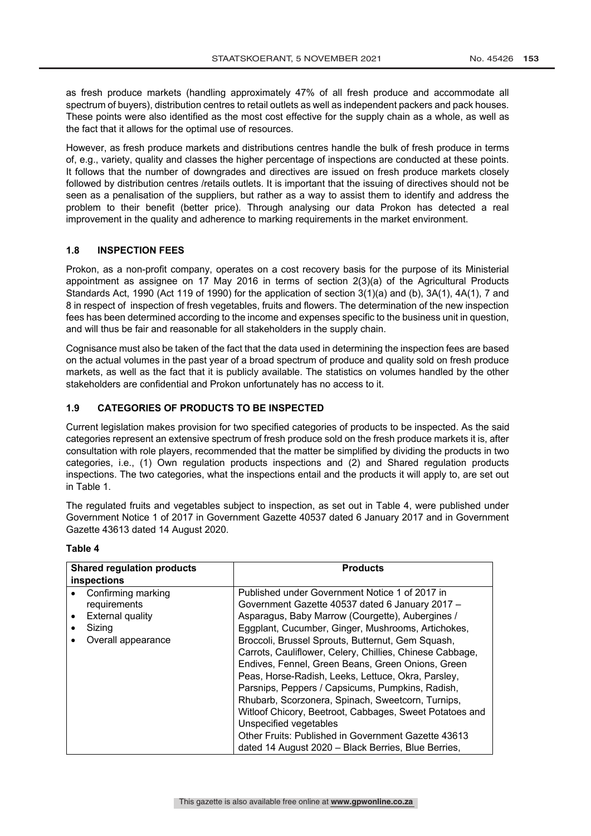as fresh produce markets (handling approximately 47% of all fresh produce and accommodate all spectrum of buyers), distribution centres to retail outlets as well as independent packers and pack houses. These points were also identified as the most cost effective for the supply chain as a whole, as well as the fact that it allows for the optimal use of resources.

However, as fresh produce markets and distributions centres handle the bulk of fresh produce in terms of, e.g., variety, quality and classes the higher percentage of inspections are conducted at these points. It follows that the number of downgrades and directives are issued on fresh produce markets closely followed by distribution centres /retails outlets. It is important that the issuing of directives should not be seen as a penalisation of the suppliers, but rather as a way to assist them to identify and address the problem to their benefit (better price). Through analysing our data Prokon has detected a real improvement in the quality and adherence to marking requirements in the market environment.

#### **1.8 INSPECTION FEES**

Prokon, as a non-profit company, operates on a cost recovery basis for the purpose of its Ministerial appointment as assignee on 17 May 2016 in terms of section 2(3)(a) of the Agricultural Products Standards Act, 1990 (Act 119 of 1990) for the application of section 3(1)(a) and (b), 3A(1), 4A(1), 7 and 8 in respect of inspection of fresh vegetables, fruits and flowers. The determination of the new inspection fees has been determined according to the income and expenses specific to the business unit in question, and will thus be fair and reasonable for all stakeholders in the supply chain.

Cognisance must also be taken of the fact that the data used in determining the inspection fees are based on the actual volumes in the past year of a broad spectrum of produce and quality sold on fresh produce markets, as well as the fact that it is publicly available. The statistics on volumes handled by the other stakeholders are confidential and Prokon unfortunately has no access to it.

# **1.9 CATEGORIES OF PRODUCTS TO BE INSPECTED**

Current legislation makes provision for two specified categories of products to be inspected. As the said categories represent an extensive spectrum of fresh produce sold on the fresh produce markets it is, after consultation with role players, recommended that the matter be simplified by dividing the products in two categories, i.e., (1) Own regulation products inspections and (2) and Shared regulation products inspections. The two categories, what the inspections entail and the products it will apply to, are set out in Table 1.

The regulated fruits and vegetables subject to inspection, as set out in Table 4, were published under Government Notice 1 of 2017 in Government Gazette 40537 dated 6 January 2017 and in Government Gazette 43613 dated 14 August 2020.

#### **Table 4**

| <b>Shared regulation products</b> | <b>Products</b>                                          |
|-----------------------------------|----------------------------------------------------------|
| inspections                       |                                                          |
| Confirming marking                | Published under Government Notice 1 of 2017 in           |
| requirements                      | Government Gazette 40537 dated 6 January 2017 -          |
| External quality                  | Asparagus, Baby Marrow (Courgette), Aubergines /         |
| Sizing                            | Eggplant, Cucumber, Ginger, Mushrooms, Artichokes,       |
| Overall appearance                | Broccoli, Brussel Sprouts, Butternut, Gem Squash,        |
|                                   | Carrots, Cauliflower, Celery, Chillies, Chinese Cabbage, |
|                                   | Endives, Fennel, Green Beans, Green Onions, Green        |
|                                   | Peas, Horse-Radish, Leeks, Lettuce, Okra, Parsley,       |
|                                   | Parsnips, Peppers / Capsicums, Pumpkins, Radish,         |
|                                   | Rhubarb, Scorzonera, Spinach, Sweetcorn, Turnips,        |
|                                   | Witloof Chicory, Beetroot, Cabbages, Sweet Potatoes and  |
|                                   | Unspecified vegetables                                   |
|                                   | Other Fruits: Published in Government Gazette 43613      |
|                                   | dated 14 August 2020 - Black Berries, Blue Berries,      |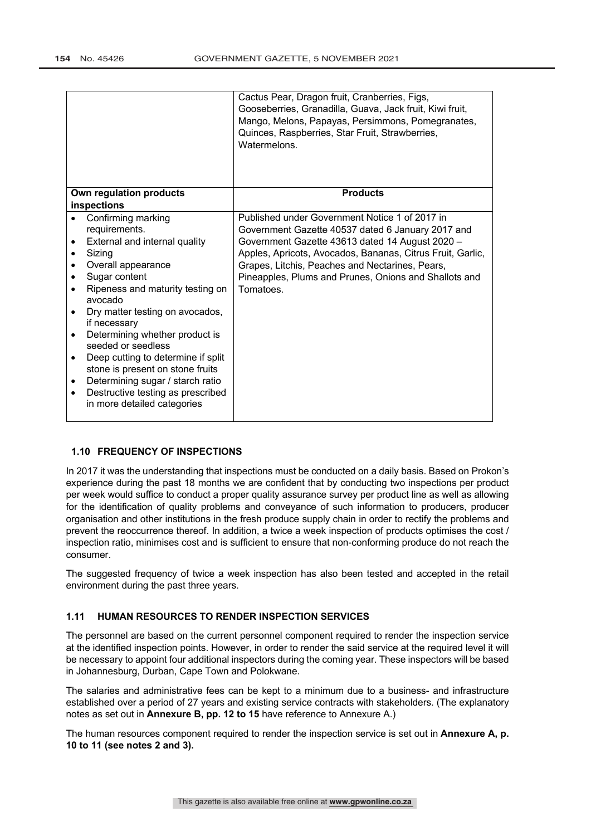|           |                                                                        | Cactus Pear, Dragon fruit, Cranberries, Figs,<br>Gooseberries, Granadilla, Guava, Jack fruit, Kiwi fruit,<br>Mango, Melons, Papayas, Persimmons, Pomegranates,<br>Quinces, Raspberries, Star Fruit, Strawberries, |
|-----------|------------------------------------------------------------------------|-------------------------------------------------------------------------------------------------------------------------------------------------------------------------------------------------------------------|
|           |                                                                        | Watermelons.                                                                                                                                                                                                      |
|           |                                                                        |                                                                                                                                                                                                                   |
|           |                                                                        |                                                                                                                                                                                                                   |
|           | Own regulation products                                                | <b>Products</b>                                                                                                                                                                                                   |
|           | inspections                                                            |                                                                                                                                                                                                                   |
|           | Confirming marking                                                     | Published under Government Notice 1 of 2017 in                                                                                                                                                                    |
|           | requirements.                                                          | Government Gazette 40537 dated 6 January 2017 and                                                                                                                                                                 |
|           | External and internal quality                                          | Government Gazette 43613 dated 14 August 2020 -                                                                                                                                                                   |
|           | Sizing                                                                 | Apples, Apricots, Avocados, Bananas, Citrus Fruit, Garlic,                                                                                                                                                        |
|           | Overall appearance                                                     | Grapes, Litchis, Peaches and Nectarines, Pears,                                                                                                                                                                   |
|           | Sugar content                                                          | Pineapples, Plums and Prunes, Onions and Shallots and                                                                                                                                                             |
|           | Ripeness and maturity testing on<br>avocado                            | Tomatoes.                                                                                                                                                                                                         |
|           | Dry matter testing on avocados,<br>if necessary                        |                                                                                                                                                                                                                   |
|           | Determining whether product is<br>seeded or seedless                   |                                                                                                                                                                                                                   |
| $\bullet$ | Deep cutting to determine if split<br>stone is present on stone fruits |                                                                                                                                                                                                                   |
| ٠         | Determining sugar / starch ratio                                       |                                                                                                                                                                                                                   |
| $\bullet$ | Destructive testing as prescribed<br>in more detailed categories       |                                                                                                                                                                                                                   |

# **1.10 FREQUENCY OF INSPECTIONS**

In 2017 it was the understanding that inspections must be conducted on a daily basis. Based on Prokon's experience during the past 18 months we are confident that by conducting two inspections per product per week would suffice to conduct a proper quality assurance survey per product line as well as allowing for the identification of quality problems and conveyance of such information to producers, producer organisation and other institutions in the fresh produce supply chain in order to rectify the problems and prevent the reoccurrence thereof. In addition, a twice a week inspection of products optimises the cost / inspection ratio, minimises cost and is sufficient to ensure that non-conforming produce do not reach the consumer.

The suggested frequency of twice a week inspection has also been tested and accepted in the retail environment during the past three years.

# **1.11 HUMAN RESOURCES TO RENDER INSPECTION SERVICES**

The personnel are based on the current personnel component required to render the inspection service at the identified inspection points. However, in order to render the said service at the required level it will be necessary to appoint four additional inspectors during the coming year. These inspectors will be based in Johannesburg, Durban, Cape Town and Polokwane.

The salaries and administrative fees can be kept to a minimum due to a business- and infrastructure established over a period of 27 years and existing service contracts with stakeholders. (The explanatory notes as set out in **Annexure B, pp. 12 to 15** have reference to Annexure A.)

The human resources component required to render the inspection service is set out in **Annexure A, p. 10 to 11 (see notes 2 and 3).**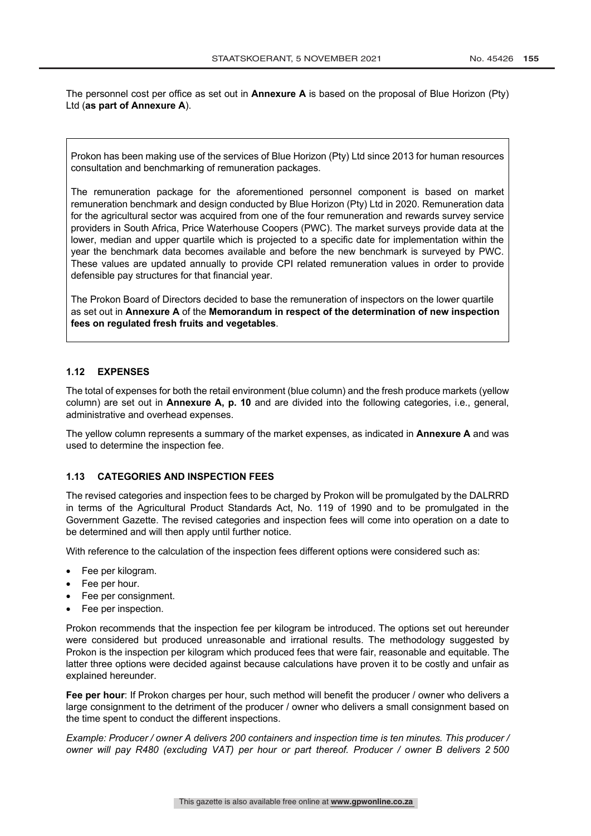The personnel cost per office as set out in **Annexure A** is based on the proposal of Blue Horizon (Pty) Ltd (**as part of Annexure A**).

Prokon has been making use of the services of Blue Horizon (Pty) Ltd since 2013 for human resources consultation and benchmarking of remuneration packages.

The remuneration package for the aforementioned personnel component is based on market remuneration benchmark and design conducted by Blue Horizon (Pty) Ltd in 2020. Remuneration data for the agricultural sector was acquired from one of the four remuneration and rewards survey service providers in South Africa, Price Waterhouse Coopers (PWC). The market surveys provide data at the lower, median and upper quartile which is projected to a specific date for implementation within the year the benchmark data becomes available and before the new benchmark is surveyed by PWC. These values are updated annually to provide CPI related remuneration values in order to provide defensible pay structures for that financial year.

The Prokon Board of Directors decided to base the remuneration of inspectors on the lower quartile as set out in **Annexure A** of the **Memorandum in respect of the determination of new inspection fees on regulated fresh fruits and vegetables**.

## **1.12 EXPENSES**

The total of expenses for both the retail environment (blue column) and the fresh produce markets (yellow column) are set out in **Annexure A, p. 10** and are divided into the following categories, i.e., general, administrative and overhead expenses.

The yellow column represents a summary of the market expenses, as indicated in **Annexure A** and was used to determine the inspection fee.

## **1.13 CATEGORIES AND INSPECTION FEES**

The revised categories and inspection fees to be charged by Prokon will be promulgated by the DALRRD in terms of the Agricultural Product Standards Act, No. 119 of 1990 and to be promulgated in the Government Gazette. The revised categories and inspection fees will come into operation on a date to be determined and will then apply until further notice.

With reference to the calculation of the inspection fees different options were considered such as:

- Fee per kilogram.
- Fee per hour.
- Fee per consignment.
- Fee per inspection.

Prokon recommends that the inspection fee per kilogram be introduced. The options set out hereunder were considered but produced unreasonable and irrational results. The methodology suggested by Prokon is the inspection per kilogram which produced fees that were fair, reasonable and equitable. The latter three options were decided against because calculations have proven it to be costly and unfair as explained hereunder.

**Fee per hour**: If Prokon charges per hour, such method will benefit the producer / owner who delivers a large consignment to the detriment of the producer / owner who delivers a small consignment based on the time spent to conduct the different inspections.

*Example: Producer / owner A delivers 200 containers and inspection time is ten minutes. This producer / owner will pay R480 (excluding VAT) per hour or part thereof. Producer / owner B delivers 2 500*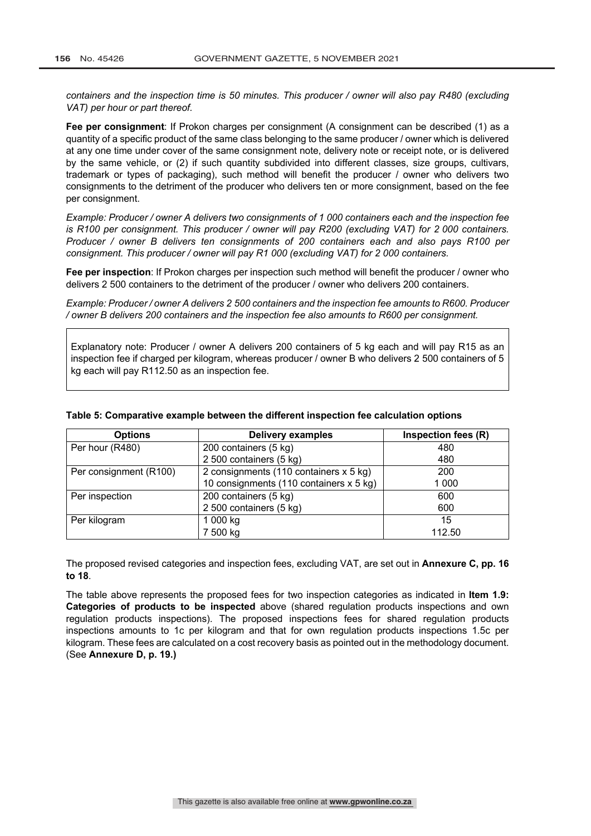*containers and the inspection time is 50 minutes. This producer / owner will also pay R480 (excluding VAT) per hour or part thereof.*

**Fee per consignment**: If Prokon charges per consignment (A consignment can be described (1) as a quantity of a specific product of the same class belonging to the same producer / owner which is delivered at any one time under cover of the same consignment note, delivery note or receipt note, or is delivered by the same vehicle, or (2) if such quantity subdivided into different classes, size groups, cultivars, trademark or types of packaging), such method will benefit the producer / owner who delivers two consignments to the detriment of the producer who delivers ten or more consignment, based on the fee per consignment.

*Example: Producer / owner A delivers two consignments of 1 000 containers each and the inspection fee is R100 per consignment. This producer / owner will pay R200 (excluding VAT) for 2 000 containers. Producer / owner B delivers ten consignments of 200 containers each and also pays R100 per consignment. This producer / owner will pay R1 000 (excluding VAT) for 2 000 containers.*

**Fee per inspection**: If Prokon charges per inspection such method will benefit the producer / owner who delivers 2 500 containers to the detriment of the producer / owner who delivers 200 containers.

*Example: Producer / owner A delivers 2 500 containers and the inspection fee amounts to R600. Producer / owner B delivers 200 containers and the inspection fee also amounts to R600 per consignment.*

Explanatory note: Producer / owner A delivers 200 containers of 5 kg each and will pay R15 as an inspection fee if charged per kilogram, whereas producer / owner B who delivers 2 500 containers of 5 kg each will pay R112.50 as an inspection fee.

| <b>Options</b>         | <b>Delivery examples</b>                | Inspection fees (R) |
|------------------------|-----------------------------------------|---------------------|
| Per hour (R480)        | 200 containers (5 kg)                   | 480                 |
|                        | 2 500 containers (5 kg)                 | 480                 |
| Per consignment (R100) | 2 consignments (110 containers x 5 kg)  | 200                 |
|                        | 10 consignments (110 containers x 5 kg) | 1 000               |
| Per inspection         | 200 containers (5 kg)                   | 600                 |
|                        | 2 500 containers (5 kg)                 | 600                 |
| Per kilogram           | 1 000 kg                                | 15                  |
|                        | 7 500 kg                                | 112.50              |

#### **Table 5: Comparative example between the different inspection fee calculation options**

The proposed revised categories and inspection fees, excluding VAT, are set out in **Annexure C, pp. 16 to 18**.

The table above represents the proposed fees for two inspection categories as indicated in **Item 1.9: Categories of products to be inspected** above (shared regulation products inspections and own regulation products inspections). The proposed inspections fees for shared regulation products inspections amounts to 1c per kilogram and that for own regulation products inspections 1.5c per kilogram. These fees are calculated on a cost recovery basis as pointed out in the methodology document. (See **Annexure D, p. 19.)**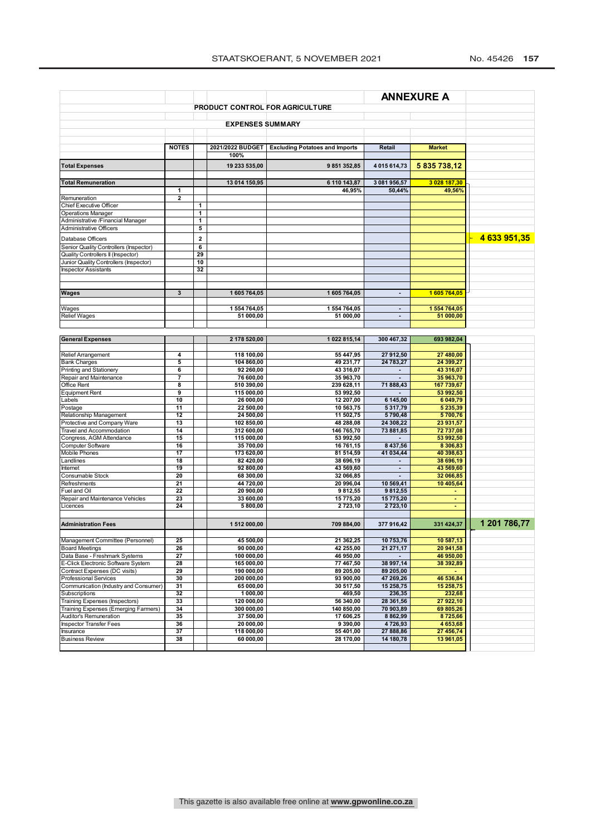|                                                                       | <b>ANNEXURE A</b>       |                   |                          |                                        |                        |                         |              |
|-----------------------------------------------------------------------|-------------------------|-------------------|--------------------------|----------------------------------------|------------------------|-------------------------|--------------|
|                                                                       |                         |                   |                          | <b>PRODUCT CONTROL FOR AGRICULTURE</b> |                        |                         |              |
|                                                                       |                         |                   |                          |                                        |                        |                         |              |
|                                                                       |                         |                   | <b>EXPENSES SUMMARY</b>  |                                        |                        |                         |              |
|                                                                       |                         |                   |                          |                                        |                        |                         |              |
|                                                                       | <b>NOTES</b>            |                   | 2021/2022 BUDGET         | <b>Excluding Potatoes and Imports</b>  | Retail                 | <b>Market</b>           |              |
|                                                                       |                         |                   | 100%                     |                                        |                        |                         |              |
| <b>Total Expenses</b>                                                 |                         |                   | 19 233 535,00            | 9851352,85                             | 4 015 614,73           | 5 835 738,12            |              |
|                                                                       |                         |                   |                          |                                        |                        |                         |              |
| <b>Total Remuneration</b>                                             |                         |                   | 13 014 150,95            | 6 110 143,87                           | 3 081 956,57           | 3 028 187,30            |              |
|                                                                       | 1                       |                   |                          | 46,95%                                 | 50,44%                 | 49,56%                  |              |
| Remuneration                                                          | $\overline{\mathbf{c}}$ |                   |                          |                                        |                        |                         |              |
| Chief Executive Officer<br><b>Operations Manager</b>                  |                         | $\mathbf{1}$<br>1 |                          |                                        |                        |                         |              |
| Administrative /Financial Manager                                     |                         | $\mathbf{1}$      |                          |                                        |                        |                         |              |
| <b>Administrative Officers</b>                                        |                         | 5                 |                          |                                        |                        |                         |              |
| Database Officers                                                     |                         | $\overline{2}$    |                          |                                        |                        |                         | 4 633 951,35 |
| Senior Quality Controllers (Inspector)                                |                         | 6                 |                          |                                        |                        |                         |              |
| Quality Controllers II (Inspector)                                    |                         | 29                |                          |                                        |                        |                         |              |
| Junior Quality Controllers (Inspector)                                |                         | 10                |                          |                                        |                        |                         |              |
| <b>Inspector Assistants</b>                                           |                         | 32                |                          |                                        |                        |                         |              |
|                                                                       |                         |                   |                          |                                        |                        |                         |              |
| <b>Wages</b>                                                          | 3                       |                   | 1605764,05               | 1605764,05                             | $\blacksquare$         | 1605764,05              |              |
|                                                                       |                         |                   |                          |                                        |                        |                         |              |
| Wages                                                                 |                         |                   | 1 554 764,05             | 1554764,05                             | $\blacksquare$         | 1 554 764.05            |              |
| <b>Relief Wages</b>                                                   |                         |                   | 51 000,00                | 51 000,00                              | $\blacksquare$         | 51 000,00               |              |
|                                                                       |                         |                   |                          |                                        |                        |                         |              |
| <b>General Expenses</b>                                               |                         |                   | 2 178 520,00             | 1022815,14                             | 300 467,32             | 693 982,04              |              |
|                                                                       |                         |                   |                          |                                        |                        |                         |              |
| Relief Arrangement                                                    | 4                       |                   | 118 100,00               | 55 447.95                              | 27 912,50              | 27 480.00               |              |
| <b>Bank Charges</b>                                                   | 5                       |                   | 104 860,00               | 49 231,77                              | 24 783.27              | 24 399,27               |              |
| Printing and Stationery                                               | 6                       |                   | 92 260,00                | 43 316,07                              |                        | 43 316,07               |              |
| Repair and Maintenance<br>Office Rent                                 | 7<br>8                  |                   | 76 600,00<br>510 390,00  | 35 963,70<br>239 628,11                | 71 888,43              | 35 963,70<br>167 739,67 |              |
| <b>Equipment Rent</b>                                                 | 9                       |                   | 115 000,00               | 53 992,50                              |                        | 53 992,50               |              |
| Labels                                                                | 10                      |                   | 26 000,00                | 12 207,00                              | 6 145,00               | 6 049,79                |              |
| Postage                                                               | 11                      |                   | 22 500,00                | 10 563,75                              | 5 3 1 7 , 7 9          | 5 235,39                |              |
| Relationship Management                                               | 12                      |                   | 24 500,00                | 11 502,75                              | 5790,48                | 5700,76                 |              |
| Protective and Company Ware<br>Travel and Accommodation               | 13<br>14                |                   | 102 850,00<br>312 600,00 | 48 288,08<br>146 765,70                | 24 308,22<br>73 881,85 | 23 931,57<br>72 737,08  |              |
| Congress, AGM Attendance                                              | 15                      |                   | 115 000,00               | 53 992,50                              |                        | 53 992,50               |              |
| Computer Software                                                     | 16                      |                   | 35 700,00                | 16 761,15                              | 8 437,56               | 8 306,83                |              |
| Mobile Phones                                                         | 17                      |                   | 173 620,00               | 81 514,59                              | 41 034,44              | 40 398,63               |              |
| Landlines                                                             | 18                      |                   | 82 420,00                | 38 696,19                              |                        | 38 696,19               |              |
| Internet<br>Consumable Stock                                          | 19<br>20                |                   | 92 800,00<br>68 300,00   | 43 569,60<br>32 066,85                 | $\blacksquare$         | 43 569,60<br>32 066,85  |              |
| Refreshments                                                          | 21                      |                   | 44 720,00                | 20 996,04                              | 10 569,41              | 10 405,64               |              |
| Fuel and Oil                                                          | 22                      |                   | 20 900,00                | 9812,55                                | 9812,55                |                         |              |
| Repair and Maintenance Vehicles                                       | 23                      |                   | 33 600,00                | 15 775,20                              | 15 775,20              | $\blacksquare$          |              |
| Licences                                                              | 24                      |                   | 5 800,00                 | 2723,10                                | 2 723,10               |                         |              |
|                                                                       |                         |                   |                          |                                        |                        |                         |              |
| <b>Administration Fees</b>                                            |                         |                   | 1512000,00               | 709 884.00                             | 377 916,42             | 331 424,37              | 1 201 786,77 |
| Management Committee (Personnel)                                      | 25                      |                   | 45 500,00                | 21 362,25                              | 10 753,76              | 10 587,13               |              |
| <b>Board Meetings</b>                                                 | 26                      |                   | 90 000,00                | 42 255,00                              | 21 271,17              | 20 941,58               |              |
| Data Base - Freshmark Systems                                         | 27                      |                   | 100 000,00               | 46 950,00                              |                        | 46 950,00               |              |
| E-Click Electronic Software System                                    | 28                      |                   | 165 000,00               | 77 467,50                              | 38 997,14              | 38 392,89               |              |
| Contract Expenses (DC visits)                                         | 29                      |                   | 190 000,00               | 89 205,00                              | 89 205,00              |                         |              |
| <b>Professional Services</b><br>Communication (Industry and Consumer) | 30<br>31                |                   | 200 000,00<br>65 000,00  | 93 900,00<br>30 517,50                 | 47 269,26<br>15 258,75 | 46 536,84<br>15 258,75  |              |
| Subscriptions                                                         | 32                      |                   | 1 000,00                 | 469,50                                 | 236,35                 | 232,68                  |              |
| <b>Training Expenses (Inspectors)</b>                                 | 33                      |                   | 120 000,00               | 56 340,00                              | 28 361,56              | 27 922,10               |              |
| Training Expenses (Emerging Farmers)                                  | 34                      |                   | 300 000,00               | 140 850,00                             | 70 903,89              | 69 805,26               |              |
| Auditor's Remuneration                                                | 35                      |                   | 37 500,00                | 17 606,25                              | 8 8 6 2,99             | 8725,66                 |              |
| <b>Inspector Transfer Fees</b>                                        | 36                      |                   | 20 000,00                | 9 390,00                               | 4726,93                | 4 653,68                |              |
| Insurance<br><b>Business Review</b>                                   | 37<br>38                |                   | 118 000,00<br>60 000,00  | 55 401,00<br>28 170,00                 | 27 888,86<br>14 180,78 | 27 456,74<br>13 961,05  |              |
|                                                                       |                         |                   |                          |                                        |                        |                         |              |
|                                                                       |                         |                   |                          |                                        |                        |                         |              |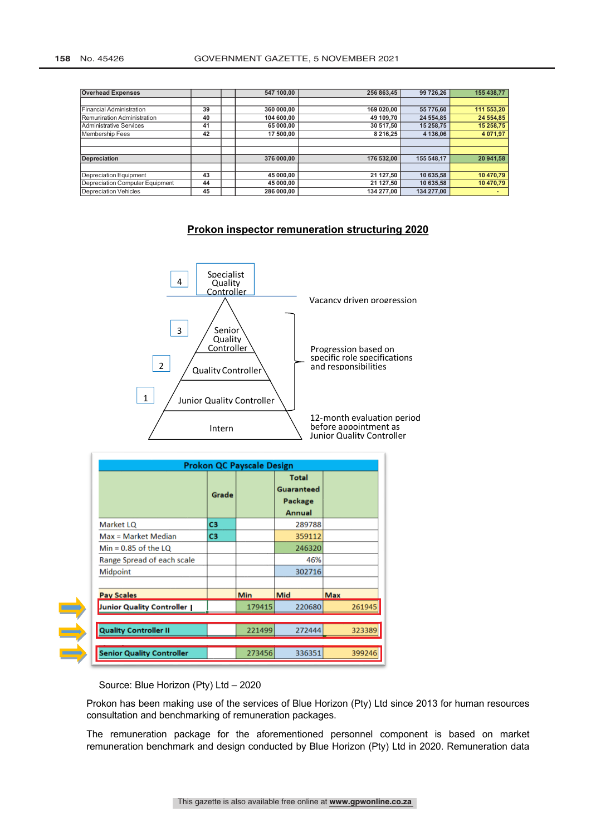| <b>Overhead Expenses</b>        |    | 547 100,00 | 256 863,45    | 99 726,26  | 155 438,77 |
|---------------------------------|----|------------|---------------|------------|------------|
|                                 |    |            |               |            |            |
| Financial Administration        | 39 | 360 000.00 | 169 020.00    | 55 776.60  | 111 553.20 |
| Remuniration Administration     | 40 | 104 600.00 | 49 109,70     | 24 554,85  | 24 554,85  |
| Administrative Services         | 41 | 65 000,00  | 30 517,50     | 15 258,75  | 15 258,75  |
| Membership Fees                 | 42 | 17 500,00  | 8 2 1 6 , 2 5 | 4 136,06   | 4 071,97   |
|                                 |    |            |               |            |            |
|                                 |    |            |               |            |            |
| <b>Depreciation</b>             |    | 376 000.00 | 176 532.00    | 155 548.17 | 20 941.58  |
|                                 |    |            |               |            |            |
| <b>Depreciation Equipment</b>   | 43 | 45 000,00  | 21 127,50     | 10 635,58  | 10 470.79  |
| Depreciation Computer Equipment | 44 | 45 000.00  | 21 127,50     | 10 635,58  | 10 470,79  |
| <b>Depreciation Vehicles</b>    | 45 | 286 000.00 | 134 277.00    | 134 277,00 |            |

# **Prokon inspector remuneration structuring 2020**



|                                  |                | <b>Prokon QC Payscale Design</b> |                                                                      |            |
|----------------------------------|----------------|----------------------------------|----------------------------------------------------------------------|------------|
|                                  | Grade          |                                  | <b>Total</b><br><b>Guaranteed</b><br><b>Package</b><br><b>Annual</b> |            |
| <b>Market LQ</b>                 | C <sub>3</sub> |                                  | 289788                                                               |            |
| $Max = Market Median$            | C <sub>3</sub> |                                  | 359112                                                               |            |
| $Min = 0.85$ of the LQ           |                |                                  | 246320                                                               |            |
| Range Spread of each scale       |                |                                  | 46%                                                                  |            |
| <b>Midpoint</b>                  |                |                                  | 302716                                                               |            |
| <b>Pay Scales</b>                |                | Min                              | Mid                                                                  | <b>Max</b> |
| Junior Quality Controller        |                | 179415                           | 220680                                                               | 261945     |
| <b>Quality Controller II</b>     |                | 221499                           | 272444                                                               | 323389     |
| <b>Senior Quality Controller</b> |                | 273456                           | 336351                                                               | 399246     |

Source: Blue Horizon (Pty) Ltd – 2020

Prokon has been making use of the services of Blue Horizon (Pty) Ltd since 2013 for human resources consultation and benchmarking of remuneration packages.

The remuneration package for the aforementioned personnel component is based on market remuneration benchmark and design conducted by Blue Horizon (Pty) Ltd in 2020. Remuneration data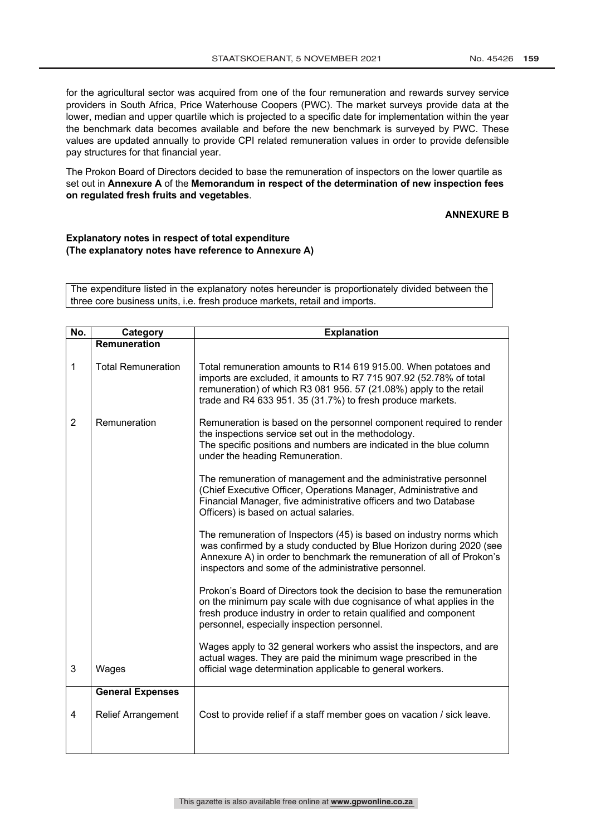for the agricultural sector was acquired from one of the four remuneration and rewards survey service providers in South Africa, Price Waterhouse Coopers (PWC). The market surveys provide data at the lower, median and upper quartile which is projected to a specific date for implementation within the year the benchmark data becomes available and before the new benchmark is surveyed by PWC. These values are updated annually to provide CPI related remuneration values in order to provide defensible pay structures for that financial year.

The Prokon Board of Directors decided to base the remuneration of inspectors on the lower quartile as set out in **Annexure A** of the **Memorandum in respect of the determination of new inspection fees on regulated fresh fruits and vegetables**.

#### **ANNEXURE B**

#### **Explanatory notes in respect of total expenditure (The explanatory notes have reference to Annexure A)**

The expenditure listed in the explanatory notes hereunder is proportionately divided between the three core business units, i.e. fresh produce markets, retail and imports.

| No.            | Category                  | <b>Explanation</b>                                                                                                                                                                                                                                                           |
|----------------|---------------------------|------------------------------------------------------------------------------------------------------------------------------------------------------------------------------------------------------------------------------------------------------------------------------|
|                | <b>Remuneration</b>       |                                                                                                                                                                                                                                                                              |
| 1              | <b>Total Remuneration</b> | Total remuneration amounts to R14 619 915.00. When potatoes and<br>imports are excluded, it amounts to R7 715 907.92 (52.78% of total<br>remuneration) of which R3 081 956. 57 (21.08%) apply to the retail<br>trade and R4 633 951. 35 (31.7%) to fresh produce markets.    |
| $\overline{2}$ | Remuneration              | Remuneration is based on the personnel component required to render<br>the inspections service set out in the methodology.<br>The specific positions and numbers are indicated in the blue column<br>under the heading Remuneration.                                         |
|                |                           | The remuneration of management and the administrative personnel<br>(Chief Executive Officer, Operations Manager, Administrative and<br>Financial Manager, five administrative officers and two Database<br>Officers) is based on actual salaries.                            |
|                |                           | The remuneration of Inspectors (45) is based on industry norms which<br>was confirmed by a study conducted by Blue Horizon during 2020 (see<br>Annexure A) in order to benchmark the remuneration of all of Prokon's<br>inspectors and some of the administrative personnel. |
|                |                           | Prokon's Board of Directors took the decision to base the remuneration<br>on the minimum pay scale with due cognisance of what applies in the<br>fresh produce industry in order to retain qualified and component<br>personnel, especially inspection personnel.            |
| 3              | Wages                     | Wages apply to 32 general workers who assist the inspectors, and are<br>actual wages. They are paid the minimum wage prescribed in the<br>official wage determination applicable to general workers.                                                                         |
|                | <b>General Expenses</b>   |                                                                                                                                                                                                                                                                              |
| $\overline{4}$ | <b>Relief Arrangement</b> | Cost to provide relief if a staff member goes on vacation / sick leave.                                                                                                                                                                                                      |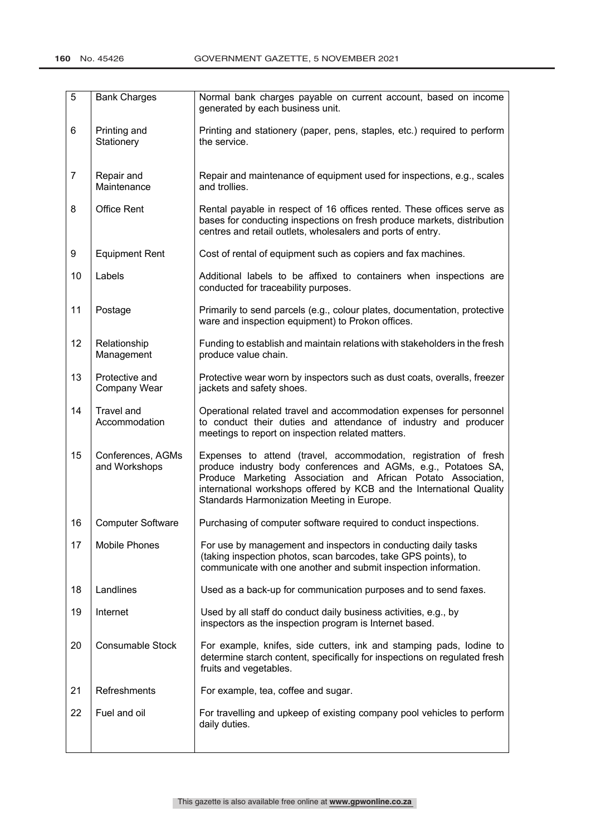| $\overline{5}$ | <b>Bank Charges</b>                | Normal bank charges payable on current account, based on income<br>generated by each business unit.                                                                                                                                                                                                                       |
|----------------|------------------------------------|---------------------------------------------------------------------------------------------------------------------------------------------------------------------------------------------------------------------------------------------------------------------------------------------------------------------------|
| 6              | Printing and<br>Stationery         | Printing and stationery (paper, pens, staples, etc.) required to perform<br>the service.                                                                                                                                                                                                                                  |
| $\overline{7}$ | Repair and<br>Maintenance          | Repair and maintenance of equipment used for inspections, e.g., scales<br>and trollies.                                                                                                                                                                                                                                   |
| 8              | <b>Office Rent</b>                 | Rental payable in respect of 16 offices rented. These offices serve as<br>bases for conducting inspections on fresh produce markets, distribution<br>centres and retail outlets, wholesalers and ports of entry.                                                                                                          |
| 9              | <b>Equipment Rent</b>              | Cost of rental of equipment such as copiers and fax machines.                                                                                                                                                                                                                                                             |
| 10             | Labels                             | Additional labels to be affixed to containers when inspections are<br>conducted for traceability purposes.                                                                                                                                                                                                                |
| 11             | Postage                            | Primarily to send parcels (e.g., colour plates, documentation, protective<br>ware and inspection equipment) to Prokon offices.                                                                                                                                                                                            |
| 12             | Relationship<br>Management         | Funding to establish and maintain relations with stakeholders in the fresh<br>produce value chain.                                                                                                                                                                                                                        |
| 13             | Protective and<br>Company Wear     | Protective wear worn by inspectors such as dust coats, overalls, freezer<br>jackets and safety shoes.                                                                                                                                                                                                                     |
| 14             | Travel and<br>Accommodation        | Operational related travel and accommodation expenses for personnel<br>to conduct their duties and attendance of industry and producer<br>meetings to report on inspection related matters.                                                                                                                               |
| 15             | Conferences, AGMs<br>and Workshops | Expenses to attend (travel, accommodation, registration of fresh<br>produce industry body conferences and AGMs, e.g., Potatoes SA,<br>Produce Marketing Association and African Potato Association,<br>international workshops offered by KCB and the International Quality<br>Standards Harmonization Meeting in Europe. |
| 16             | <b>Computer Software</b>           | Purchasing of computer software required to conduct inspections.                                                                                                                                                                                                                                                          |
| 17             | Mobile Phones                      | For use by management and inspectors in conducting daily tasks<br>(taking inspection photos, scan barcodes, take GPS points), to<br>communicate with one another and submit inspection information.                                                                                                                       |
| 18             | Landlines                          | Used as a back-up for communication purposes and to send faxes.                                                                                                                                                                                                                                                           |
| 19             | Internet                           | Used by all staff do conduct daily business activities, e.g., by<br>inspectors as the inspection program is Internet based.                                                                                                                                                                                               |
| 20             | <b>Consumable Stock</b>            | For example, knifes, side cutters, ink and stamping pads, lodine to<br>determine starch content, specifically for inspections on regulated fresh<br>fruits and vegetables.                                                                                                                                                |
| 21             | Refreshments                       | For example, tea, coffee and sugar.                                                                                                                                                                                                                                                                                       |
| 22             | Fuel and oil                       | For travelling and upkeep of existing company pool vehicles to perform<br>daily duties.                                                                                                                                                                                                                                   |
|                |                                    |                                                                                                                                                                                                                                                                                                                           |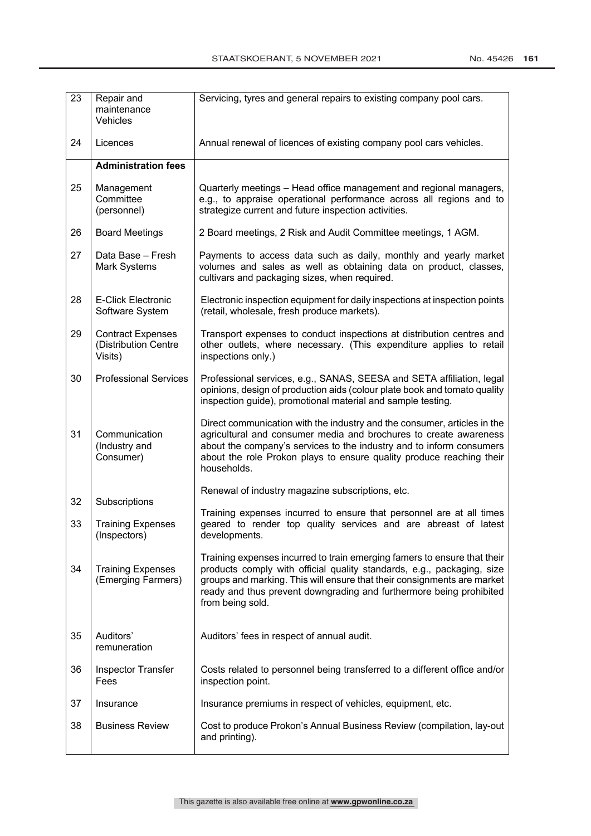| 23 | Repair and<br>maintenance<br>Vehicles                       | Servicing, tyres and general repairs to existing company pool cars.                                                                                                                                                                                                                                                      |
|----|-------------------------------------------------------------|--------------------------------------------------------------------------------------------------------------------------------------------------------------------------------------------------------------------------------------------------------------------------------------------------------------------------|
| 24 | Licences                                                    | Annual renewal of licences of existing company pool cars vehicles.                                                                                                                                                                                                                                                       |
|    | <b>Administration fees</b>                                  |                                                                                                                                                                                                                                                                                                                          |
| 25 | Management<br>Committee<br>(personnel)                      | Quarterly meetings - Head office management and regional managers,<br>e.g., to appraise operational performance across all regions and to<br>strategize current and future inspection activities.                                                                                                                        |
| 26 | <b>Board Meetings</b>                                       | 2 Board meetings, 2 Risk and Audit Committee meetings, 1 AGM.                                                                                                                                                                                                                                                            |
| 27 | Data Base - Fresh<br>Mark Systems                           | Payments to access data such as daily, monthly and yearly market<br>volumes and sales as well as obtaining data on product, classes,<br>cultivars and packaging sizes, when required.                                                                                                                                    |
| 28 | <b>E-Click Electronic</b><br>Software System                | Electronic inspection equipment for daily inspections at inspection points<br>(retail, wholesale, fresh produce markets).                                                                                                                                                                                                |
| 29 | <b>Contract Expenses</b><br>(Distribution Centre<br>Visits) | Transport expenses to conduct inspections at distribution centres and<br>other outlets, where necessary. (This expenditure applies to retail<br>inspections only.)                                                                                                                                                       |
| 30 | <b>Professional Services</b>                                | Professional services, e.g., SANAS, SEESA and SETA affiliation, legal<br>opinions, design of production aids (colour plate book and tomato quality<br>inspection guide), promotional material and sample testing.                                                                                                        |
| 31 | Communication<br>(Industry and<br>Consumer)                 | Direct communication with the industry and the consumer, articles in the<br>agricultural and consumer media and brochures to create awareness<br>about the company's services to the industry and to inform consumers<br>about the role Prokon plays to ensure quality produce reaching their<br>households.             |
| 32 | Subscriptions                                               | Renewal of industry magazine subscriptions, etc.                                                                                                                                                                                                                                                                         |
| 33 | <b>Training Expenses</b><br>(Inspectors)                    | Training expenses incurred to ensure that personnel are at all times<br>geared to render top quality services and are abreast of latest<br>developments.                                                                                                                                                                 |
| 34 | <b>Training Expenses</b><br>(Emerging Farmers)              | Training expenses incurred to train emerging famers to ensure that their<br>products comply with official quality standards, e.g., packaging, size<br>groups and marking. This will ensure that their consignments are market<br>ready and thus prevent downgrading and furthermore being prohibited<br>from being sold. |
| 35 | Auditors'<br>remuneration                                   | Auditors' fees in respect of annual audit.                                                                                                                                                                                                                                                                               |
| 36 | <b>Inspector Transfer</b><br>Fees                           | Costs related to personnel being transferred to a different office and/or<br>inspection point.                                                                                                                                                                                                                           |
| 37 | Insurance                                                   | Insurance premiums in respect of vehicles, equipment, etc.                                                                                                                                                                                                                                                               |
| 38 | <b>Business Review</b>                                      | Cost to produce Prokon's Annual Business Review (compilation, lay-out<br>and printing).                                                                                                                                                                                                                                  |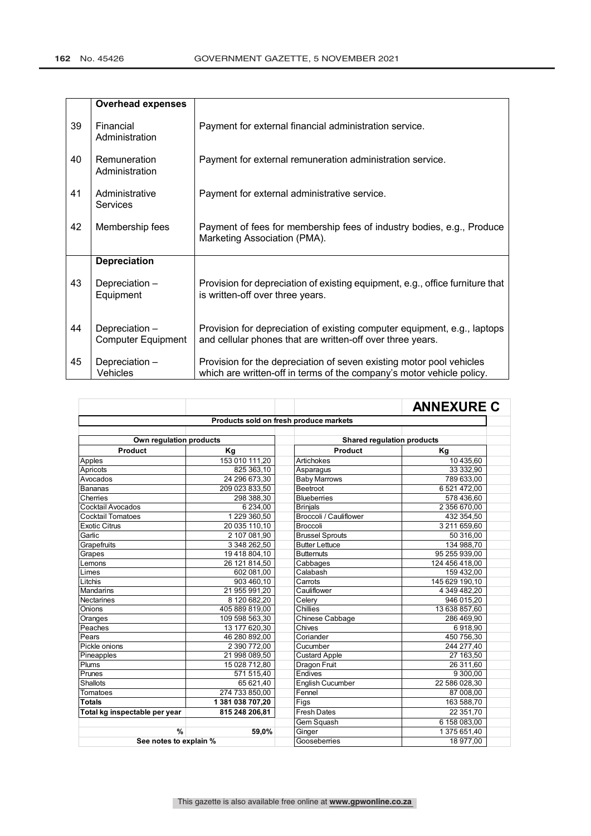|    | <b>Overhead expenses</b>                    |                                                                                                                                               |
|----|---------------------------------------------|-----------------------------------------------------------------------------------------------------------------------------------------------|
| 39 | Financial<br>Administration                 | Payment for external financial administration service.                                                                                        |
| 40 | Remuneration<br>Administration              | Payment for external remuneration administration service.                                                                                     |
| 41 | Administrative<br>Services                  | Payment for external administrative service.                                                                                                  |
| 42 | Membership fees                             | Payment of fees for membership fees of industry bodies, e.g., Produce<br>Marketing Association (PMA).                                         |
|    | <b>Depreciation</b>                         |                                                                                                                                               |
| 43 | Depreciation -<br>Equipment                 | Provision for depreciation of existing equipment, e.g., office furniture that<br>is written-off over three years.                             |
| 44 | Depreciation -<br><b>Computer Equipment</b> | Provision for depreciation of existing computer equipment, e.g., laptops<br>and cellular phones that are written-off over three years.        |
| 45 | Depreciation -<br><b>Vehicles</b>           | Provision for the depreciation of seven existing motor pool vehicles<br>which are written-off in terms of the company's motor vehicle policy. |

|                                        |                |                        | <b>ANNEXURE C</b>                 |  |  |
|----------------------------------------|----------------|------------------------|-----------------------------------|--|--|
| Products sold on fresh produce markets |                |                        |                                   |  |  |
|                                        |                |                        |                                   |  |  |
| Own regulation products                |                |                        | <b>Shared regulation products</b> |  |  |
| Product                                | Κq             | Product                | Kg                                |  |  |
| Apples                                 | 153 010 111,20 | Artichokes             | 10 435,60                         |  |  |
| Apricots                               | 825 363,10     | Asparagus              | 33 332,90                         |  |  |
| Avocados                               | 24 296 673,30  | <b>Baby Marrows</b>    | 789 633,00                        |  |  |
| <b>Bananas</b>                         | 209 023 833,50 | <b>Beetroot</b>        | 6 521 472,00                      |  |  |
| Cherries                               | 298 388,30     | Blueberries            | 578 436,60                        |  |  |
| Cocktail Avocados                      | 6 2 3 4 ,00    | <b>Brinjals</b>        | 2 356 670,00                      |  |  |
| <b>Cocktail Tomatoes</b>               | 1 229 360,50   | Broccoli / Cauliflower | 432 354,50                        |  |  |
| <b>Exotic Citrus</b>                   | 20 035 110,10  | <b>Broccoli</b>        | 3 211 659,60                      |  |  |
| Garlic                                 | 2 107 081,90   | <b>Brussel Sprouts</b> | 50 316,00                         |  |  |
| Grapefruits                            | 3 348 262,50   | <b>Butter Lettuce</b>  | 134 988,70                        |  |  |
| Grapes                                 | 19 418 804,10  | <b>Butternuts</b>      | 95 255 939,00                     |  |  |
| Lemons                                 | 26 121 814,50  | Cabbages               | 124 456 418,00                    |  |  |
| Limes                                  | 602 081,00     | Calabash               | 159 432,00                        |  |  |
| Litchis                                | 903 460,10     | Carrots                | 145 629 190,10                    |  |  |
| Mandarins                              | 21 955 991,20  | Cauliflower            | 4 349 482.20                      |  |  |
| <b>Nectarines</b>                      | 8 120 682.20   | Celery                 | 946 015,20                        |  |  |
| Onions                                 | 405 889 819,00 | Chillies               | 13 638 857,60                     |  |  |
| Oranges                                | 109 598 563,30 | Chinese Cabbage        | 286 469,90                        |  |  |
| Peaches                                | 13 177 620,30  | Chives                 | 6918,90                           |  |  |
| Pears                                  | 46 280 892,00  | Coriander              | 450 756,30                        |  |  |
| Pickle onions                          | 2 390 772,00   | Cucumber               | 244 277,40                        |  |  |
| Pineapples                             | 21 998 089,50  | <b>Custard Apple</b>   | 27 163,50                         |  |  |
| Plums                                  | 15 028 712.80  | <b>Dragon Fruit</b>    | 26 311,60                         |  |  |
| Prunes                                 | 571 515.40     | Endives                | 9 300,00                          |  |  |
| <b>Shallots</b>                        | 65 621,40      | English Cucumber       | 22 586 028,30                     |  |  |
| Tomatoes                               | 274 733 850,00 | Fennel                 | 87 008,00                         |  |  |
| <b>Totals</b>                          | 1381038707,20  | Figs                   | 163 588,70                        |  |  |
| Total kg inspectable per year          | 815 248 206,81 | <b>Fresh Dates</b>     | 22 351,70                         |  |  |
|                                        |                | Gem Squash             | 6 158 083,00                      |  |  |
| $\frac{9}{6}$                          | 59,0%          | Ginger                 | 1 375 651,40                      |  |  |
| See notes to explain %                 |                | Gooseberries           | 18 977,00                         |  |  |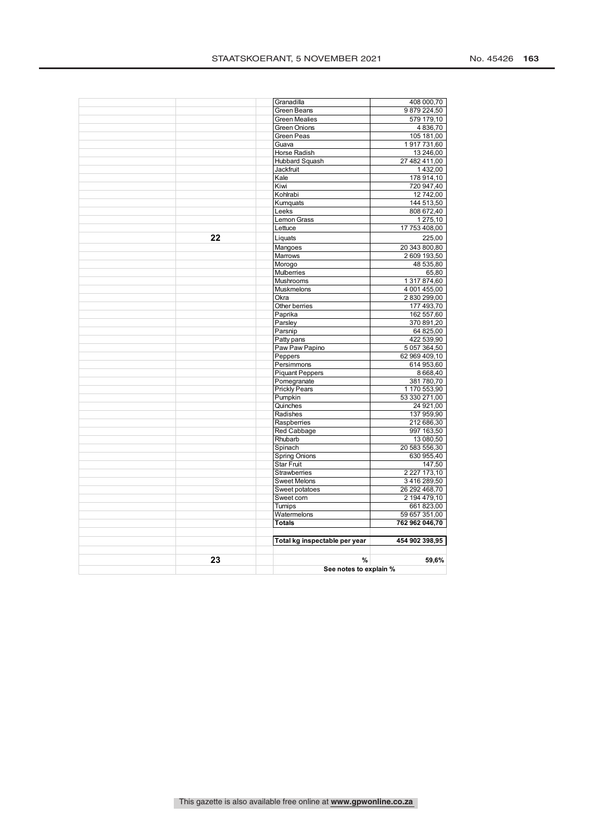|    |                                     | See notes to explain %    |  |  |
|----|-------------------------------------|---------------------------|--|--|
| 23 | %                                   | 59,6%                     |  |  |
|    |                                     |                           |  |  |
|    | Total kg inspectable per year       | 454 902 398,95            |  |  |
|    | <b>Totals</b>                       | 762 962 046,70            |  |  |
|    | Watermelons                         | 59 657 351,00             |  |  |
|    | Turnips                             | 661 823,00                |  |  |
|    | Sweet corn                          | 2 194 479,10              |  |  |
|    | Sweet potatoes                      | 26 292 468,70             |  |  |
|    | <b>Sweet Melons</b>                 | 3416289,50                |  |  |
|    | Strawberries                        | 2 227 173,10              |  |  |
|    | <b>Star Fruit</b>                   | 147,50                    |  |  |
|    | <b>Spring Onions</b>                | 630 955,40                |  |  |
|    | Spinach                             | 20 583 556,30             |  |  |
|    | Rhubarb                             | 13 080,50                 |  |  |
|    | Raspberries<br>Red Cabbage          | 212 686,30<br>997 163,50  |  |  |
|    | Radishes                            | 137 959,90                |  |  |
|    | Quinches                            | 24 921,00                 |  |  |
|    | Pumpkin                             | 53 330 271,00             |  |  |
|    | <b>Prickly Pears</b>                | 1 170 553,90              |  |  |
|    | Pomegranate                         | 381780,70                 |  |  |
|    | Piquant Peppers                     | 8668.40                   |  |  |
|    | Persimmons                          | 614 953,60                |  |  |
|    | Peppers                             | 62 969 409,10             |  |  |
|    | Paw Paw Papino                      | 5 057 364,50              |  |  |
|    | Patty pans                          | 422 539,90                |  |  |
|    | Parsnip                             | 64 825,00                 |  |  |
|    | Parsley                             | 370 891,20                |  |  |
|    | Paprika                             | 162 557,60                |  |  |
|    | Other berries                       | 177 493,70                |  |  |
|    | Okra                                | 2830299,00                |  |  |
|    | Muskmelons                          | 4 001 455,00              |  |  |
|    | <b>Mushrooms</b>                    | 65,80<br>1 317 874,60     |  |  |
|    | Morogo<br><b>Mulberries</b>         | 48 535,80                 |  |  |
|    | Marrows                             | 2 609 193,50              |  |  |
|    | Mangoes                             | 20 343 800,80             |  |  |
| 22 | Liquats                             | 225,00                    |  |  |
|    |                                     |                           |  |  |
|    | Lemon Grass<br>Lettuce              | 1 275,10<br>17 753 408,00 |  |  |
|    | Leeks                               | 808 672,40                |  |  |
|    | Kumquats                            | 144 513,50                |  |  |
|    | Kohlrabi                            | 12 742,00                 |  |  |
|    | Kiwi                                | 720 947,40                |  |  |
|    | Kale                                | 178 914,10                |  |  |
|    | <b>Jackfruit</b>                    | 1432,00                   |  |  |
|    | Hubbard Squash                      | 27 482 411,00             |  |  |
|    | Horse Radish                        | 13 246,00                 |  |  |
|    | Guava                               | 1917731,60                |  |  |
|    | Green Peas                          | 105 181,00                |  |  |
|    | Green Onions                        | 4836,70                   |  |  |
|    | Green Beans<br><b>Green Mealies</b> | 9879224,50<br>579 179.10  |  |  |
|    | Granadilla                          | 408 000,70                |  |  |
|    |                                     |                           |  |  |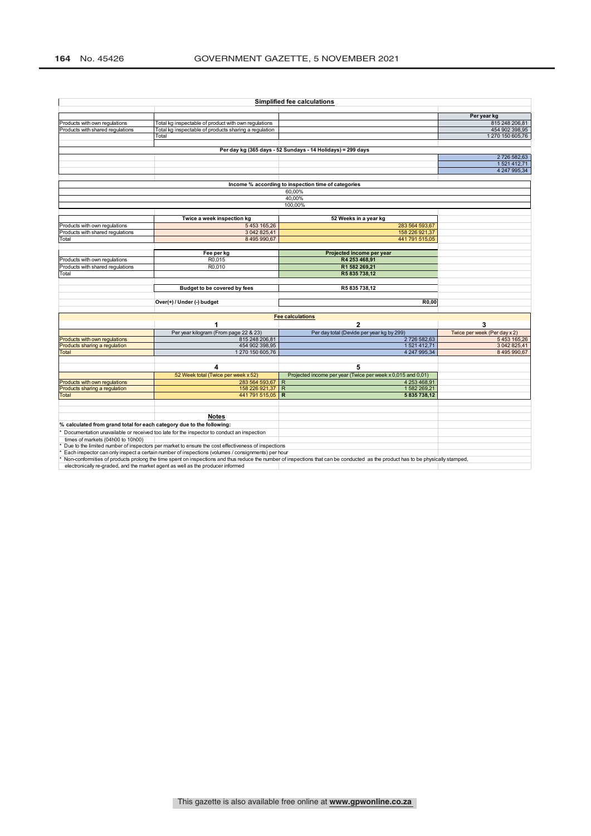$\mathbf{r}$ 

|                                           |                                                                                                    | <b>Simplified fee calculations</b>                                                                                                                                              |                              |
|-------------------------------------------|----------------------------------------------------------------------------------------------------|---------------------------------------------------------------------------------------------------------------------------------------------------------------------------------|------------------------------|
|                                           |                                                                                                    |                                                                                                                                                                                 | Per year kg                  |
| Products with own regulations             | Total kg inspectable of product with own regulations                                               |                                                                                                                                                                                 | 815 248 206,81               |
| Products with shared regulations          | Total kg inspectable of products sharing a regulation                                              |                                                                                                                                                                                 | 454 902 398,95               |
|                                           | Total                                                                                              |                                                                                                                                                                                 | 1 270 150 605,76             |
|                                           |                                                                                                    |                                                                                                                                                                                 |                              |
|                                           |                                                                                                    | Per day kg (365 days - 52 Sundays - 14 Holidays) = 299 days                                                                                                                     |                              |
|                                           |                                                                                                    |                                                                                                                                                                                 | 2726 582,63                  |
|                                           |                                                                                                    |                                                                                                                                                                                 | 1521412,71                   |
|                                           |                                                                                                    |                                                                                                                                                                                 | 4 247 995.34                 |
|                                           |                                                                                                    | Income % according to inspection time of categories                                                                                                                             |                              |
|                                           |                                                                                                    | 60.00%                                                                                                                                                                          |                              |
|                                           |                                                                                                    | 40,00%                                                                                                                                                                          |                              |
|                                           |                                                                                                    | 100,00%                                                                                                                                                                         |                              |
|                                           |                                                                                                    |                                                                                                                                                                                 |                              |
|                                           | Twice a week inspection kg<br>5453 165,26                                                          | 52 Weeks in a year kg<br>283 564 593.67                                                                                                                                         |                              |
| Products with own regulations             | 3 042 825.41                                                                                       | 158 226 921.37                                                                                                                                                                  |                              |
| Products with shared regulations<br>Total | 8 495 990,67                                                                                       | 441 791 515,05                                                                                                                                                                  |                              |
|                                           |                                                                                                    |                                                                                                                                                                                 |                              |
|                                           | Fee per kg                                                                                         | Projected income per year                                                                                                                                                       |                              |
| Products with own regulations             | R0,015                                                                                             | R4 253 468,91                                                                                                                                                                   |                              |
| Products with shared regulations          | R0.010                                                                                             | R1 582 269.21                                                                                                                                                                   |                              |
| Total                                     |                                                                                                    | R5835738,12                                                                                                                                                                     |                              |
|                                           |                                                                                                    |                                                                                                                                                                                 |                              |
|                                           | Budget to be covered by fees                                                                       | R5835738.12                                                                                                                                                                     |                              |
|                                           |                                                                                                    |                                                                                                                                                                                 |                              |
|                                           | Over(+) / Under (-) budget                                                                         | R0.00                                                                                                                                                                           |                              |
|                                           |                                                                                                    | <b>Fee calculations</b>                                                                                                                                                         |                              |
|                                           | 1                                                                                                  | $\overline{2}$                                                                                                                                                                  | 3                            |
|                                           | Per year kilogram (From page 22 & 23)                                                              | Per day total (Devide per year kg by 299)                                                                                                                                       | Twice per week (Per day x 2) |
| Products with own regulations             | 815 248 206,81                                                                                     | 2726 582,63                                                                                                                                                                     | 5453165,26                   |
| Products sharing a regulation             | 454 902 398,95                                                                                     | 1521412,71                                                                                                                                                                      | 3 042 825,41                 |
| Total                                     | 1 270 150 605,76                                                                                   | 4 247 995,34                                                                                                                                                                    | 8 495 990,67                 |
|                                           |                                                                                                    |                                                                                                                                                                                 |                              |
|                                           | 4<br>52 Week total (Twice per week x 52)                                                           | 5<br>Projected income per year (Twice per week x 0,015 and 0,01)                                                                                                                |                              |
| Products with own regulations             | 283 564 593,67                                                                                     | 4 253 468,91<br>R                                                                                                                                                               |                              |
| Products sharing a regulation             | 158 226 921,37                                                                                     | R<br>1582 269,21                                                                                                                                                                |                              |
| <b>Total</b>                              | 441 791 515,05                                                                                     | 5835738,12<br>$\mathbb{R}$                                                                                                                                                      |                              |
|                                           |                                                                                                    |                                                                                                                                                                                 |                              |
|                                           |                                                                                                    |                                                                                                                                                                                 |                              |
|                                           | <b>Notes</b>                                                                                       |                                                                                                                                                                                 |                              |
|                                           | % calculated from grand total for each category due to the following:                              |                                                                                                                                                                                 |                              |
|                                           |                                                                                                    |                                                                                                                                                                                 |                              |
|                                           | Documentation unavailable or received too late for the inspector to conduct an inspection          |                                                                                                                                                                                 |                              |
| times of markets (04h00 to 10h00)         |                                                                                                    |                                                                                                                                                                                 |                              |
|                                           | Due to the limited number of inspectors per market to ensure the cost effectiveness of inspections |                                                                                                                                                                                 |                              |
|                                           | Each inspector can only inspect a certain number of inspections (volumes / consignments) per hour  | Non-conformities of products prolong the time spent on inspections and thus reduce the number of inspections that can be conducted as the product has to be physically stamped, |                              |